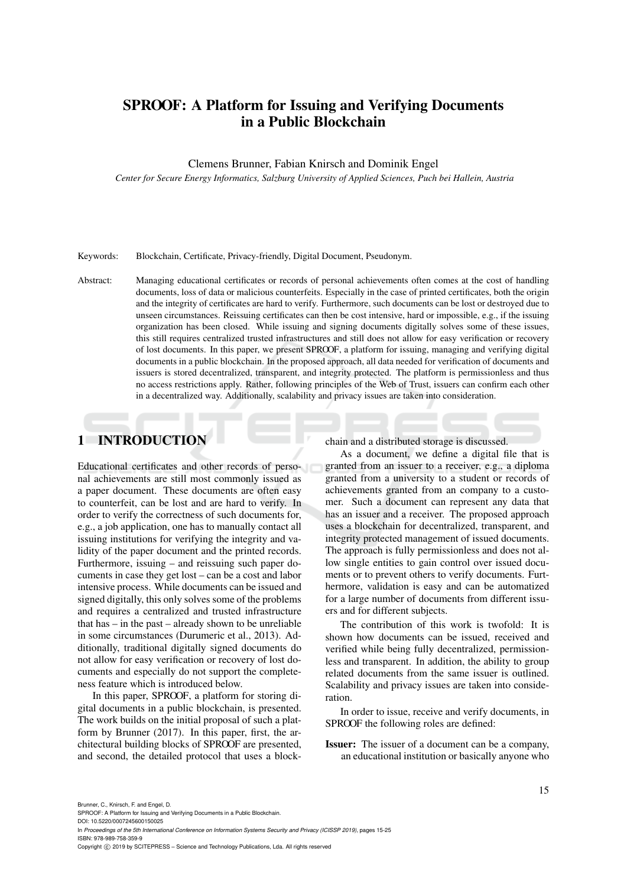# SPROOF: A Platform for Issuing and Verifying Documents in a Public Blockchain

#### Clemens Brunner, Fabian Knirsch and Dominik Engel

*Center for Secure Energy Informatics, Salzburg University of Applied Sciences, Puch bei Hallein, Austria*

#### Keywords: Blockchain, Certificate, Privacy-friendly, Digital Document, Pseudonym.

Abstract: Managing educational certificates or records of personal achievements often comes at the cost of handling documents, loss of data or malicious counterfeits. Especially in the case of printed certificates, both the origin and the integrity of certificates are hard to verify. Furthermore, such documents can be lost or destroyed due to unseen circumstances. Reissuing certificates can then be cost intensive, hard or impossible, e.g., if the issuing organization has been closed. While issuing and signing documents digitally solves some of these issues, this still requires centralized trusted infrastructures and still does not allow for easy verification or recovery of lost documents. In this paper, we present SPROOF, a platform for issuing, managing and verifying digital documents in a public blockchain. In the proposed approach, all data needed for verification of documents and issuers is stored decentralized, transparent, and integrity protected. The platform is permissionless and thus no access restrictions apply. Rather, following principles of the Web of Trust, issuers can confirm each other in a decentralized way. Additionally, scalability and privacy issues are taken into consideration.

# 1 INTRODUCTION

Educational certificates and other records of personal achievements are still most commonly issued as a paper document. These documents are often easy to counterfeit, can be lost and are hard to verify. In order to verify the correctness of such documents for, e.g., a job application, one has to manually contact all issuing institutions for verifying the integrity and validity of the paper document and the printed records. Furthermore, issuing – and reissuing such paper documents in case they get lost – can be a cost and labor intensive process. While documents can be issued and signed digitally, this only solves some of the problems and requires a centralized and trusted infrastructure that has – in the past – already shown to be unreliable in some circumstances (Durumeric et al., 2013). Additionally, traditional digitally signed documents do not allow for easy verification or recovery of lost documents and especially do not support the completeness feature which is introduced below.

In this paper, SPROOF, a platform for storing digital documents in a public blockchain, is presented. The work builds on the initial proposal of such a platform by Brunner (2017). In this paper, first, the architectural building blocks of SPROOF are presented, and second, the detailed protocol that uses a blockchain and a distributed storage is discussed.

As a document, we define a digital file that is granted from an issuer to a receiver, e.g., a diploma granted from a university to a student or records of achievements granted from an company to a customer. Such a document can represent any data that has an issuer and a receiver. The proposed approach uses a blockchain for decentralized, transparent, and integrity protected management of issued documents. The approach is fully permissionless and does not allow single entities to gain control over issued documents or to prevent others to verify documents. Furthermore, validation is easy and can be automatized for a large number of documents from different issuers and for different subjects.

The contribution of this work is twofold: It is shown how documents can be issued, received and verified while being fully decentralized, permissionless and transparent. In addition, the ability to group related documents from the same issuer is outlined. Scalability and privacy issues are taken into consideration.

In order to issue, receive and verify documents, in SPROOF the following roles are defined:

Issuer: The issuer of a document can be a company, an educational institution or basically anyone who

In *Proceedings of the 5th International Conference on Information Systems Security and Privacy (ICISSP 2019)*, pages 15-25 ISBN: 978-989-758-359-9

SPROOF: A Platform for Issuing and Verifying Documents in a Public Blockchain.

DOI: 10.5220/0007245600150025

Copyright © 2019 by SCITEPRESS - Science and Technology Publications, Lda. All rights reserved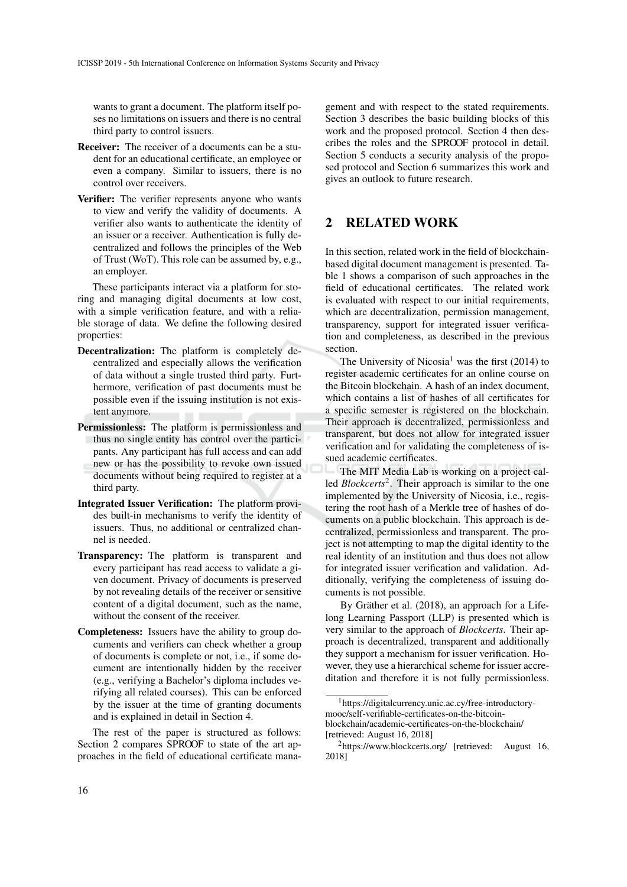wants to grant a document. The platform itself poses no limitations on issuers and there is no central third party to control issuers.

- Receiver: The receiver of a documents can be a student for an educational certificate, an employee or even a company. Similar to issuers, there is no control over receivers.
- Verifier: The verifier represents anyone who wants to view and verify the validity of documents. A verifier also wants to authenticate the identity of an issuer or a receiver. Authentication is fully decentralized and follows the principles of the Web of Trust (WoT). This role can be assumed by, e.g., an employer.

These participants interact via a platform for storing and managing digital documents at low cost, with a simple verification feature, and with a reliable storage of data. We define the following desired properties:

- Decentralization: The platform is completely decentralized and especially allows the verification of data without a single trusted third party. Furthermore, verification of past documents must be possible even if the issuing institution is not existent anymore.
- Permissionless: The platform is permissionless and thus no single entity has control over the participants. Any participant has full access and can add new or has the possibility to revoke own issued documents without being required to register at a third party.
- Integrated Issuer Verification: The platform provides built-in mechanisms to verify the identity of issuers. Thus, no additional or centralized channel is needed.
- Transparency: The platform is transparent and every participant has read access to validate a given document. Privacy of documents is preserved by not revealing details of the receiver or sensitive content of a digital document, such as the name, without the consent of the receiver.
- Completeness: Issuers have the ability to group documents and verifiers can check whether a group of documents is complete or not, i.e., if some document are intentionally hidden by the receiver (e.g., verifying a Bachelor's diploma includes verifying all related courses). This can be enforced by the issuer at the time of granting documents and is explained in detail in Section 4.

The rest of the paper is structured as follows: Section 2 compares SPROOF to state of the art approaches in the field of educational certificate mana-

gement and with respect to the stated requirements. Section 3 describes the basic building blocks of this work and the proposed protocol. Section 4 then describes the roles and the SPROOF protocol in detail. Section 5 conducts a security analysis of the proposed protocol and Section 6 summarizes this work and gives an outlook to future research.

# 2 RELATED WORK

In this section, related work in the field of blockchainbased digital document management is presented. Table 1 shows a comparison of such approaches in the field of educational certificates. The related work is evaluated with respect to our initial requirements, which are decentralization, permission management, transparency, support for integrated issuer verification and completeness, as described in the previous section.

The University of Nicosia<sup>1</sup> was the first (2014) to register academic certificates for an online course on the Bitcoin blockchain. A hash of an index document, which contains a list of hashes of all certificates for a specific semester is registered on the blockchain. Their approach is decentralized, permissionless and transparent, but does not allow for integrated issuer verification and for validating the completeness of issued academic certificates.

The MIT Media Lab is working on a project called *Blockcerts*<sup>2</sup> . Their approach is similar to the one implemented by the University of Nicosia, i.e., registering the root hash of a Merkle tree of hashes of documents on a public blockchain. This approach is decentralized, permissionless and transparent. The project is not attempting to map the digital identity to the real identity of an institution and thus does not allow for integrated issuer verification and validation. Additionally, verifying the completeness of issuing documents is not possible.

By Gräther et al.  $(2018)$ , an approach for a Lifelong Learning Passport (LLP) is presented which is very similar to the approach of *Blockcerts*. Their approach is decentralized, transparent and additionally they support a mechanism for issuer verification. However, they use a hierarchical scheme for issuer accreditation and therefore it is not fully permissionless.

<sup>&</sup>lt;sup>1</sup>https://digitalcurrency.unic.ac.cy/free-introductorymooc/self-verifiable-certificates-on-the-bitcoinblockchain/academic-certificates-on-the-blockchain/ [retrieved: August 16, 2018]

<sup>2</sup>https://www.blockcerts.org/ [retrieved: August 16, 2018]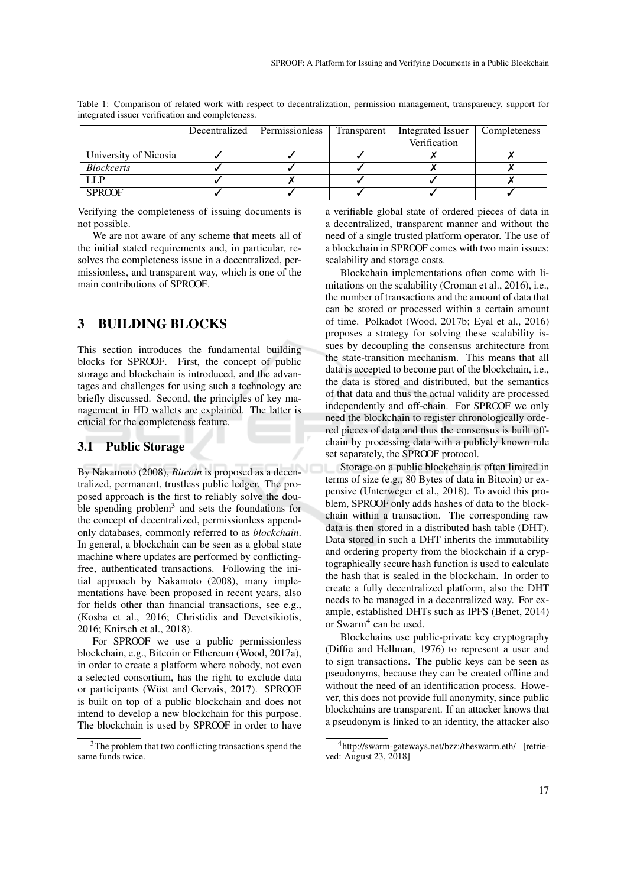|                       | Decentralized Permissionless | Transparent | Integrated Issuer | Completeness |
|-----------------------|------------------------------|-------------|-------------------|--------------|
|                       |                              |             | Verification      |              |
| University of Nicosia |                              |             |                   |              |
| <b>Blockcerts</b>     |                              |             |                   |              |
| LLP                   |                              |             |                   |              |
| <b>SPROOF</b>         |                              |             |                   |              |

Table 1: Comparison of related work with respect to decentralization, permission management, transparency, support for integrated issuer verification and completeness.

Verifying the completeness of issuing documents is not possible.

We are not aware of any scheme that meets all of the initial stated requirements and, in particular, resolves the completeness issue in a decentralized, permissionless, and transparent way, which is one of the main contributions of SPROOF.

# 3 BUILDING BLOCKS

This section introduces the fundamental building blocks for SPROOF. First, the concept of public storage and blockchain is introduced, and the advantages and challenges for using such a technology are briefly discussed. Second, the principles of key management in HD wallets are explained. The latter is crucial for the completeness feature.

## 3.1 Public Storage

By Nakamoto (2008), *Bitcoin* is proposed as a decentralized, permanent, trustless public ledger. The proposed approach is the first to reliably solve the double spending problem<sup>3</sup> and sets the foundations for the concept of decentralized, permissionless appendonly databases, commonly referred to as *blockchain*. In general, a blockchain can be seen as a global state machine where updates are performed by conflictingfree, authenticated transactions. Following the initial approach by Nakamoto (2008), many implementations have been proposed in recent years, also for fields other than financial transactions, see e.g., (Kosba et al., 2016; Christidis and Devetsikiotis, 2016; Knirsch et al., 2018).

For SPROOF we use a public permissionless blockchain, e.g., Bitcoin or Ethereum (Wood, 2017a), in order to create a platform where nobody, not even a selected consortium, has the right to exclude data or participants (Wüst and Gervais, 2017). SPROOF is built on top of a public blockchain and does not intend to develop a new blockchain for this purpose. The blockchain is used by SPROOF in order to have

a verifiable global state of ordered pieces of data in a decentralized, transparent manner and without the need of a single trusted platform operator. The use of a blockchain in SPROOF comes with two main issues: scalability and storage costs.

Blockchain implementations often come with limitations on the scalability (Croman et al., 2016), i.e., the number of transactions and the amount of data that can be stored or processed within a certain amount of time. Polkadot (Wood, 2017b; Eyal et al., 2016) proposes a strategy for solving these scalability issues by decoupling the consensus architecture from the state-transition mechanism. This means that all data is accepted to become part of the blockchain, i.e., the data is stored and distributed, but the semantics of that data and thus the actual validity are processed independently and off-chain. For SPROOF we only need the blockchain to register chronologically ordered pieces of data and thus the consensus is built offchain by processing data with a publicly known rule set separately, the SPROOF protocol.

Storage on a public blockchain is often limited in terms of size (e.g., 80 Bytes of data in Bitcoin) or expensive (Unterweger et al., 2018). To avoid this problem, SPROOF only adds hashes of data to the blockchain within a transaction. The corresponding raw data is then stored in a distributed hash table (DHT). Data stored in such a DHT inherits the immutability and ordering property from the blockchain if a cryptographically secure hash function is used to calculate the hash that is sealed in the blockchain. In order to create a fully decentralized platform, also the DHT needs to be managed in a decentralized way. For example, established DHTs such as IPFS (Benet, 2014) or Swarm<sup>4</sup> can be used.

Blockchains use public-private key cryptography (Diffie and Hellman, 1976) to represent a user and to sign transactions. The public keys can be seen as pseudonyms, because they can be created offline and without the need of an identification process. However, this does not provide full anonymity, since public blockchains are transparent. If an attacker knows that a pseudonym is linked to an identity, the attacker also

<sup>3</sup>The problem that two conflicting transactions spend the same funds twice.

<sup>4</sup>http://swarm-gateways.net/bzz:/theswarm.eth/ [retrieved: August 23, 2018]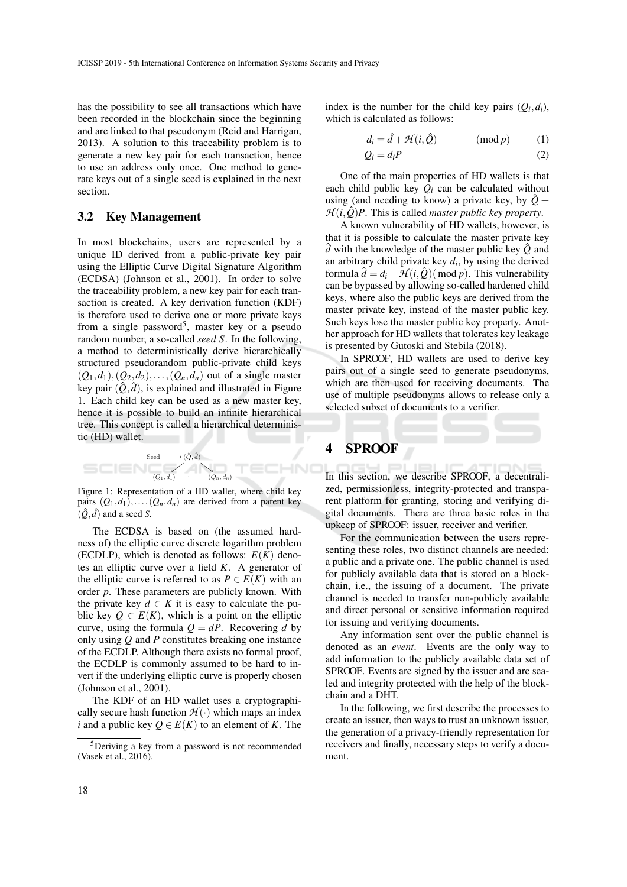has the possibility to see all transactions which have been recorded in the blockchain since the beginning and are linked to that pseudonym (Reid and Harrigan, 2013). A solution to this traceability problem is to generate a new key pair for each transaction, hence to use an address only once. One method to generate keys out of a single seed is explained in the next section.

### 3.2 Key Management

In most blockchains, users are represented by a unique ID derived from a public-private key pair using the Elliptic Curve Digital Signature Algorithm (ECDSA) (Johnson et al., 2001). In order to solve the traceability problem, a new key pair for each transaction is created. A key derivation function (KDF) is therefore used to derive one or more private keys from a single password<sup>5</sup>, master key or a pseudo random number, a so-called *seed S*. In the following, a method to deterministically derive hierarchically structured pseudorandom public-private child keys  $(Q_1, d_1), (Q_2, d_2), \ldots, (Q_n, d_n)$  out of a single master key pair  $(\hat{Q}, \hat{d})$ , is explained and illustrated in Figure 1. Each child key can be used as a new master key, hence it is possible to build an infinite hierarchical tree. This concept is called a hierarchical deterministic (HD) wallet.



Figure 1: Representation of a HD wallet, where child key pairs  $(Q_1, d_1)$ ,..., $(Q_n, d_n)$  are derived from a parent key  $(\hat{Q}, \hat{d})$  and a seed *S*.

The ECDSA is based on (the assumed hardness of) the elliptic curve discrete logarithm problem (ECDLP), which is denoted as follows:  $E(K)$  denotes an elliptic curve over a field *K*. A generator of the elliptic curve is referred to as  $P \in E(K)$  with an order *p*. These parameters are publicly known. With the private key  $d \in K$  it is easy to calculate the public key  $Q \in E(K)$ , which is a point on the elliptic curve, using the formula  $Q = dP$ . Recovering *d* by only using *Q* and *P* constitutes breaking one instance of the ECDLP. Although there exists no formal proof, the ECDLP is commonly assumed to be hard to invert if the underlying elliptic curve is properly chosen (Johnson et al., 2001).

The KDF of an HD wallet uses a cryptographically secure hash function  $\mathcal{H}(\cdot)$  which maps an index *i* and a public key  $Q \in E(K)$  to an element of *K*. The index is the number for the child key pairs  $(Q_i, d_i)$ , which is calculated as follows:

$$
d_i = \hat{d} + \mathcal{H}(i, \hat{Q}) \quad (\text{mod } p) \quad (1)
$$

$$
Q_i = d_i P \tag{2}
$$

One of the main properties of HD wallets is that each child public key  $Q_i$  can be calculated without using (and needing to know) a private key, by  $\hat{Q}$  +  $H(i, \hat{Q})P$ . This is called *master public key property*.

A known vulnerability of HD wallets, however, is that it is possible to calculate the master private key  $\hat{d}$  with the knowledge of the master public key  $\hat{Q}$  and an arbitrary child private key  $d_i$ , by using the derived formula  $\hat{d} = d_i - \mathcal{H}(i, \hat{Q})$  (mod *p*). This vulnerability can be bypassed by allowing so-called hardened child keys, where also the public keys are derived from the master private key, instead of the master public key. Such keys lose the master public key property. Another approach for HD wallets that tolerates key leakage is presented by Gutoski and Stebila (2018).

In SPROOF, HD wallets are used to derive key pairs out of a single seed to generate pseudonyms, which are then used for receiving documents. The use of multiple pseudonyms allows to release only a selected subset of documents to a verifier.

# 4 SPROOF

CHNO

In this section, we describe SPROOF, a decentralized, permissionless, integrity-protected and transparent platform for granting, storing and verifying digital documents. There are three basic roles in the upkeep of SPROOF: issuer, receiver and verifier.

For the communication between the users representing these roles, two distinct channels are needed: a public and a private one. The public channel is used for publicly available data that is stored on a blockchain, i.e., the issuing of a document. The private channel is needed to transfer non-publicly available and direct personal or sensitive information required for issuing and verifying documents.

Any information sent over the public channel is denoted as an *event*. Events are the only way to add information to the publicly available data set of SPROOF. Events are signed by the issuer and are sealed and integrity protected with the help of the blockchain and a DHT.

In the following, we first describe the processes to create an issuer, then ways to trust an unknown issuer, the generation of a privacy-friendly representation for receivers and finally, necessary steps to verify a document.

<sup>5</sup>Deriving a key from a password is not recommended (Vasek et al., 2016).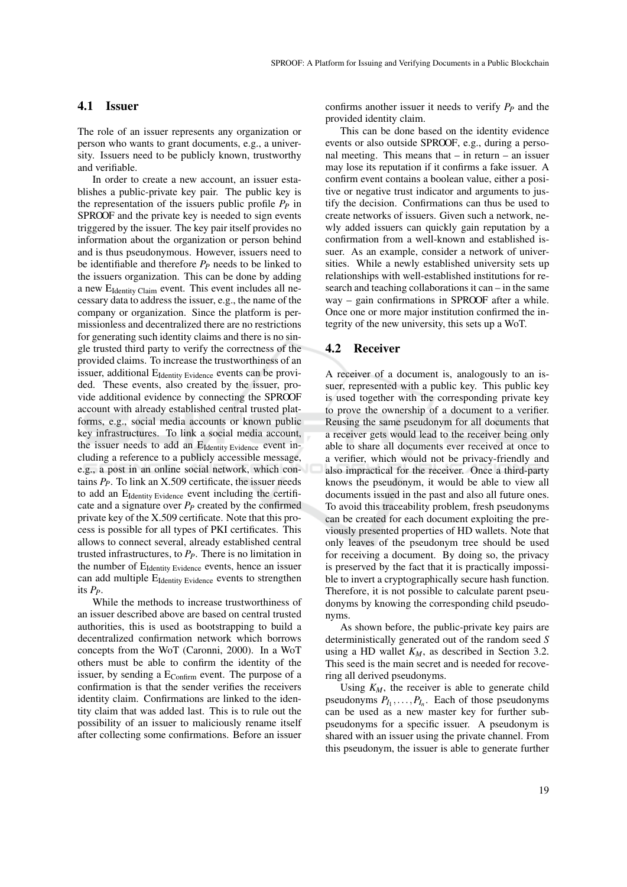### 4.1 Issuer

The role of an issuer represents any organization or person who wants to grant documents, e.g., a university. Issuers need to be publicly known, trustworthy and verifiable.

In order to create a new account, an issuer establishes a public-private key pair. The public key is the representation of the issuers public profile  $P_P$  in SPROOF and the private key is needed to sign events triggered by the issuer. The key pair itself provides no information about the organization or person behind and is thus pseudonymous. However, issuers need to be identifiable and therefore *P<sup>P</sup>* needs to be linked to the issuers organization. This can be done by adding a new E<sub>Identity Claim</sub> event. This event includes all necessary data to address the issuer, e.g., the name of the company or organization. Since the platform is permissionless and decentralized there are no restrictions for generating such identity claims and there is no single trusted third party to verify the correctness of the provided claims. To increase the trustworthiness of an issuer, additional E<sub>Identity Evidence</sub> events can be provided. These events, also created by the issuer, provide additional evidence by connecting the SPROOF account with already established central trusted platforms, e.g., social media accounts or known public key infrastructures. To link a social media account, the issuer needs to add an E<sub>Identity Evidence</sub> event including a reference to a publicly accessible message, e.g., a post in an online social network, which contains *PP*. To link an X.509 certificate, the issuer needs to add an E<sub>Identity Evidence</sub> event including the certificate and a signature over *P<sup>P</sup>* created by the confirmed private key of the X.509 certificate. Note that this process is possible for all types of PKI certificates. This allows to connect several, already established central trusted infrastructures, to *PP*. There is no limitation in the number of E<sub>Identity Evidence</sub> events, hence an issuer can add multiple E<sub>Identity Evidence</sub> events to strengthen its *PP*.

While the methods to increase trustworthiness of an issuer described above are based on central trusted authorities, this is used as bootstrapping to build a decentralized confirmation network which borrows concepts from the WoT (Caronni, 2000). In a WoT others must be able to confirm the identity of the issuer, by sending a E<sub>Confirm</sub> event. The purpose of a confirmation is that the sender verifies the receivers identity claim. Confirmations are linked to the identity claim that was added last. This is to rule out the possibility of an issuer to maliciously rename itself after collecting some confirmations. Before an issuer

confirms another issuer it needs to verify *P<sup>P</sup>* and the provided identity claim.

This can be done based on the identity evidence events or also outside SPROOF, e.g., during a personal meeting. This means that – in return – an issuer may lose its reputation if it confirms a fake issuer. A confirm event contains a boolean value, either a positive or negative trust indicator and arguments to justify the decision. Confirmations can thus be used to create networks of issuers. Given such a network, newly added issuers can quickly gain reputation by a confirmation from a well-known and established issuer. As an example, consider a network of universities. While a newly established university sets up relationships with well-established institutions for research and teaching collaborations it can – in the same way – gain confirmations in SPROOF after a while. Once one or more major institution confirmed the integrity of the new university, this sets up a WoT.

### 4.2 Receiver

A receiver of a document is, analogously to an issuer, represented with a public key. This public key is used together with the corresponding private key to prove the ownership of a document to a verifier. Reusing the same pseudonym for all documents that a receiver gets would lead to the receiver being only able to share all documents ever received at once to a verifier, which would not be privacy-friendly and also impractical for the receiver. Once a third-party knows the pseudonym, it would be able to view all documents issued in the past and also all future ones. To avoid this traceability problem, fresh pseudonyms can be created for each document exploiting the previously presented properties of HD wallets. Note that only leaves of the pseudonym tree should be used for receiving a document. By doing so, the privacy is preserved by the fact that it is practically impossible to invert a cryptographically secure hash function. Therefore, it is not possible to calculate parent pseudonyms by knowing the corresponding child pseudonyms.

As shown before, the public-private key pairs are deterministically generated out of the random seed *S* using a HD wallet *KM*, as described in Section 3.2. This seed is the main secret and is needed for recovering all derived pseudonyms.

Using  $K_M$ , the receiver is able to generate child pseudonyms  $P_{I_1}, \ldots, P_{I_n}$ . Each of those pseudonyms can be used as a new master key for further subpseudonyms for a specific issuer. A pseudonym is shared with an issuer using the private channel. From this pseudonym, the issuer is able to generate further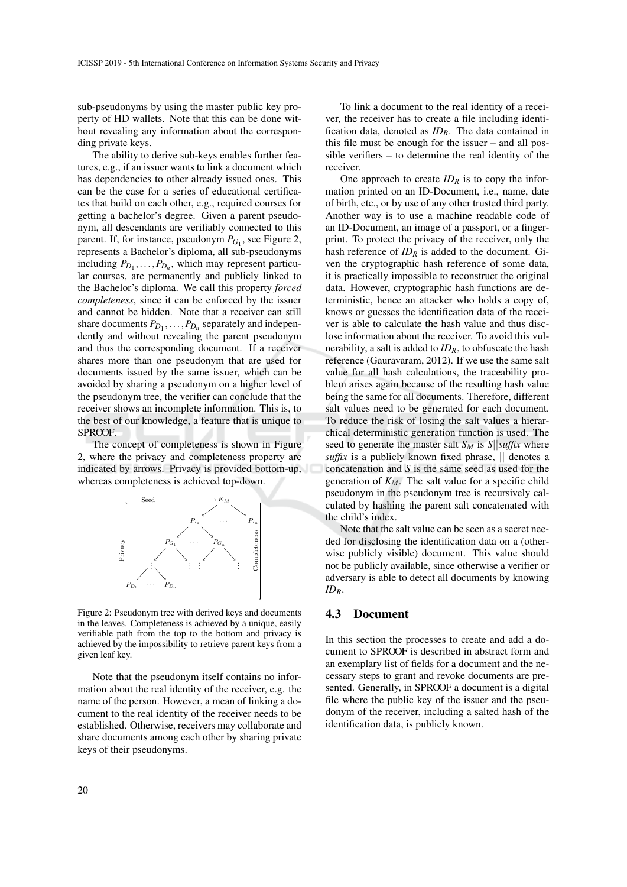sub-pseudonyms by using the master public key property of HD wallets. Note that this can be done without revealing any information about the corresponding private keys.

The ability to derive sub-keys enables further features, e.g., if an issuer wants to link a document which has dependencies to other already issued ones. This can be the case for a series of educational certificates that build on each other, e.g., required courses for getting a bachelor's degree. Given a parent pseudonym, all descendants are verifiably connected to this parent. If, for instance, pseudonym  $P_{G_1}$ , see Figure 2, represents a Bachelor's diploma, all sub-pseudonyms including  $P_{D_1}, \ldots, P_{D_n}$ , which may represent particular courses, are permanently and publicly linked to the Bachelor's diploma. We call this property *forced completeness*, since it can be enforced by the issuer and cannot be hidden. Note that a receiver can still share documents  $P_{D_1}, \ldots, P_{D_n}$  separately and independently and without revealing the parent pseudonym and thus the corresponding document. If a receiver shares more than one pseudonym that are used for documents issued by the same issuer, which can be avoided by sharing a pseudonym on a higher level of the pseudonym tree, the verifier can conclude that the receiver shows an incomplete information. This is, to the best of our knowledge, a feature that is unique to SPROOF.

The concept of completeness is shown in Figure 2, where the privacy and completeness property are indicated by arrows. Privacy is provided bottom-up, whereas completeness is achieved top-down.



Figure 2: Pseudonym tree with derived keys and documents in the leaves. Completeness is achieved by a unique, easily verifiable path from the top to the bottom and privacy is achieved by the impossibility to retrieve parent keys from a given leaf key.

Note that the pseudonym itself contains no information about the real identity of the receiver, e.g. the name of the person. However, a mean of linking a document to the real identity of the receiver needs to be established. Otherwise, receivers may collaborate and share documents among each other by sharing private keys of their pseudonyms.

To link a document to the real identity of a receiver, the receiver has to create a file including identification data, denoted as *IDR*. The data contained in this file must be enough for the issuer – and all possible verifiers – to determine the real identity of the receiver.

One approach to create  $ID_R$  is to copy the information printed on an ID-Document, i.e., name, date of birth, etc., or by use of any other trusted third party. Another way is to use a machine readable code of an ID-Document, an image of a passport, or a fingerprint. To protect the privacy of the receiver, only the hash reference of  $ID_R$  is added to the document. Given the cryptographic hash reference of some data, it is practically impossible to reconstruct the original data. However, cryptographic hash functions are deterministic, hence an attacker who holds a copy of, knows or guesses the identification data of the receiver is able to calculate the hash value and thus disclose information about the receiver. To avoid this vulnerability, a salt is added to *IDR*, to obfuscate the hash reference (Gauravaram, 2012). If we use the same salt value for all hash calculations, the traceability problem arises again because of the resulting hash value being the same for all documents. Therefore, different salt values need to be generated for each document. To reduce the risk of losing the salt values a hierarchical deterministic generation function is used. The seed to generate the master salt  $S_M$  is  $S||suffix$  where *suffix* is a publicly known fixed phrase,  $\parallel$  denotes a concatenation and *S* is the same seed as used for the generation of  $K_M$ . The salt value for a specific child pseudonym in the pseudonym tree is recursively calculated by hashing the parent salt concatenated with the child's index.

Note that the salt value can be seen as a secret needed for disclosing the identification data on a (otherwise publicly visible) document. This value should not be publicly available, since otherwise a verifier or adversary is able to detect all documents by knowing *IDR*.

### 4.3 Document

In this section the processes to create and add a document to SPROOF is described in abstract form and an exemplary list of fields for a document and the necessary steps to grant and revoke documents are presented. Generally, in SPROOF a document is a digital file where the public key of the issuer and the pseudonym of the receiver, including a salted hash of the identification data, is publicly known.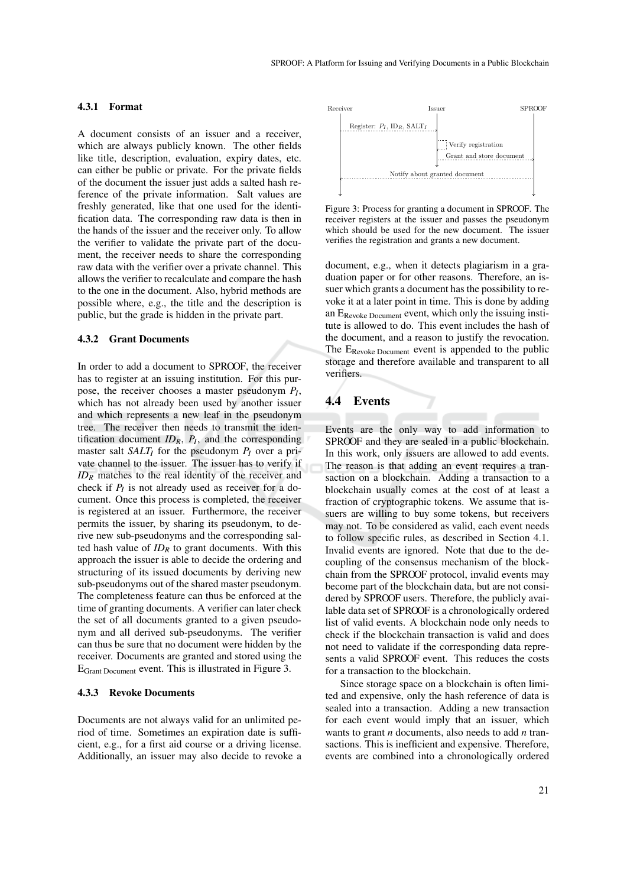### 4.3.1 Format

A document consists of an issuer and a receiver, which are always publicly known. The other fields like title, description, evaluation, expiry dates, etc. can either be public or private. For the private fields of the document the issuer just adds a salted hash reference of the private information. Salt values are freshly generated, like that one used for the identification data. The corresponding raw data is then in the hands of the issuer and the receiver only. To allow the verifier to validate the private part of the document, the receiver needs to share the corresponding raw data with the verifier over a private channel. This allows the verifier to recalculate and compare the hash to the one in the document. Also, hybrid methods are possible where, e.g., the title and the description is public, but the grade is hidden in the private part.

#### 4.3.2 Grant Documents

In order to add a document to SPROOF, the receiver has to register at an issuing institution. For this purpose, the receiver chooses a master pseudonym *P<sup>I</sup>* , which has not already been used by another issuer and which represents a new leaf in the pseudonym tree. The receiver then needs to transmit the identification document  $ID_R$ ,  $P_I$ , and the corresponding master salt *SALT<sub>I</sub>* for the pseudonym  $P_I$  over a private channel to the issuer. The issuer has to verify if *ID<sup>R</sup>* matches to the real identity of the receiver and check if  $P_I$  is not already used as receiver for a document. Once this process is completed, the receiver is registered at an issuer. Furthermore, the receiver permits the issuer, by sharing its pseudonym, to derive new sub-pseudonyms and the corresponding salted hash value of  $ID_R$  to grant documents. With this approach the issuer is able to decide the ordering and structuring of its issued documents by deriving new sub-pseudonyms out of the shared master pseudonym. The completeness feature can thus be enforced at the time of granting documents. A verifier can later check the set of all documents granted to a given pseudonym and all derived sub-pseudonyms. The verifier can thus be sure that no document were hidden by the receiver. Documents are granted and stored using the EGrant Document event. This is illustrated in Figure 3.

#### 4.3.3 Revoke Documents

Documents are not always valid for an unlimited period of time. Sometimes an expiration date is sufficient, e.g., for a first aid course or a driving license. Additionally, an issuer may also decide to revoke a



Figure 3: Process for granting a document in SPROOF. The receiver registers at the issuer and passes the pseudonym which should be used for the new document. The issuer verifies the registration and grants a new document.

document, e.g., when it detects plagiarism in a graduation paper or for other reasons. Therefore, an issuer which grants a document has the possibility to revoke it at a later point in time. This is done by adding an E<sub>Revoke</sub> <sub>Document</sub> event, which only the issuing institute is allowed to do. This event includes the hash of the document, and a reason to justify the revocation. The E<sub>Revoke Document</sub> event is appended to the public storage and therefore available and transparent to all verifiers.

### 4.4 Events

Events are the only way to add information to SPROOF and they are sealed in a public blockchain. In this work, only issuers are allowed to add events. The reason is that adding an event requires a transaction on a blockchain. Adding a transaction to a blockchain usually comes at the cost of at least a fraction of cryptographic tokens. We assume that issuers are willing to buy some tokens, but receivers may not. To be considered as valid, each event needs to follow specific rules, as described in Section 4.1. Invalid events are ignored. Note that due to the decoupling of the consensus mechanism of the blockchain from the SPROOF protocol, invalid events may become part of the blockchain data, but are not considered by SPROOF users. Therefore, the publicly available data set of SPROOF is a chronologically ordered list of valid events. A blockchain node only needs to check if the blockchain transaction is valid and does not need to validate if the corresponding data represents a valid SPROOF event. This reduces the costs for a transaction to the blockchain.

Since storage space on a blockchain is often limited and expensive, only the hash reference of data is sealed into a transaction. Adding a new transaction for each event would imply that an issuer, which wants to grant *n* documents, also needs to add *n* transactions. This is inefficient and expensive. Therefore, events are combined into a chronologically ordered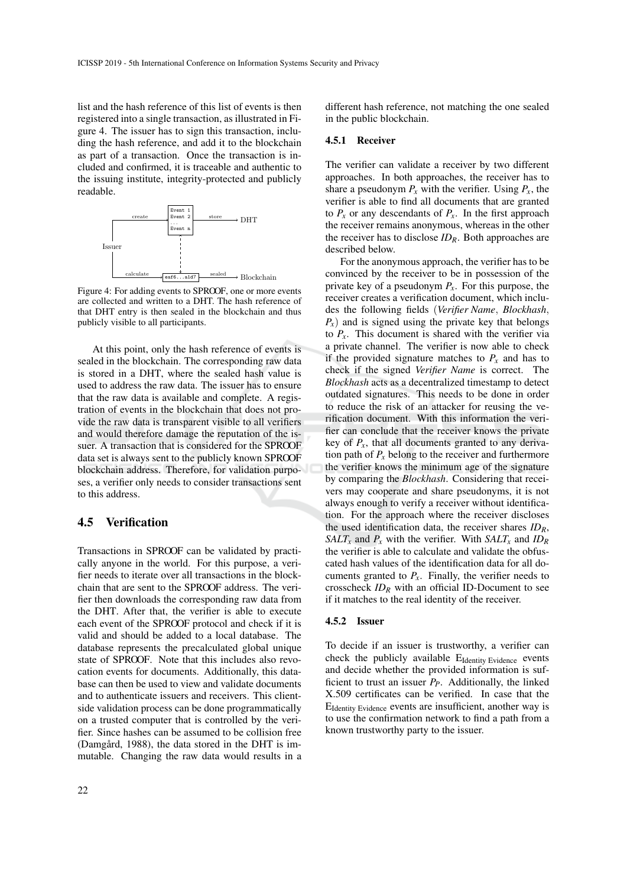list and the hash reference of this list of events is then registered into a single transaction, as illustrated in Figure 4. The issuer has to sign this transaction, including the hash reference, and add it to the blockchain as part of a transaction. Once the transaction is included and confirmed, it is traceable and authentic to the issuing institute, integrity-protected and publicly readable.



Figure 4: For adding events to SPROOF, one or more events are collected and written to a DHT. The hash reference of that DHT entry is then sealed in the blockchain and thus publicly visible to all participants.

At this point, only the hash reference of events is sealed in the blockchain. The corresponding raw data is stored in a DHT, where the sealed hash value is used to address the raw data. The issuer has to ensure that the raw data is available and complete. A registration of events in the blockchain that does not provide the raw data is transparent visible to all verifiers and would therefore damage the reputation of the issuer. A transaction that is considered for the SPROOF data set is always sent to the publicly known SPROOF blockchain address. Therefore, for validation purposes, a verifier only needs to consider transactions sent to this address.

### 4.5 Verification

Transactions in SPROOF can be validated by practically anyone in the world. For this purpose, a verifier needs to iterate over all transactions in the blockchain that are sent to the SPROOF address. The verifier then downloads the corresponding raw data from the DHT. After that, the verifier is able to execute each event of the SPROOF protocol and check if it is valid and should be added to a local database. The database represents the precalculated global unique state of SPROOF. Note that this includes also revocation events for documents. Additionally, this database can then be used to view and validate documents and to authenticate issuers and receivers. This clientside validation process can be done programmatically on a trusted computer that is controlled by the verifier. Since hashes can be assumed to be collision free (Damgård, 1988), the data stored in the DHT is immutable. Changing the raw data would results in a

different hash reference, not matching the one sealed in the public blockchain.

#### 4.5.1 Receiver

The verifier can validate a receiver by two different approaches. In both approaches, the receiver has to share a pseudonym  $P_x$  with the verifier. Using  $P_x$ , the verifier is able to find all documents that are granted to  $P_x$  or any descendants of  $P_x$ . In the first approach the receiver remains anonymous, whereas in the other the receiver has to disclose  $ID_R$ . Both approaches are described below.

For the anonymous approach, the verifier has to be convinced by the receiver to be in possession of the private key of a pseudonym  $P_x$ . For this purpose, the receiver creates a verification document, which includes the following fields (*Verifier Name*, *Blockhash*,  $P<sub>x</sub>$ ) and is signed using the private key that belongs to  $P_x$ . This document is shared with the verifier via a private channel. The verifier is now able to check if the provided signature matches to  $P_x$  and has to check if the signed *Verifier Name* is correct. The *Blockhash* acts as a decentralized timestamp to detect outdated signatures. This needs to be done in order to reduce the risk of an attacker for reusing the verification document. With this information the verifier can conclude that the receiver knows the private key of  $P_x$ , that all documents granted to any derivation path of  $P<sub>x</sub>$  belong to the receiver and furthermore the verifier knows the minimum age of the signature by comparing the *Blockhash*. Considering that receivers may cooperate and share pseudonyms, it is not always enough to verify a receiver without identification. For the approach where the receiver discloses the used identification data, the receiver shares *IDR*, *SALT<sub>x</sub>* and  $P_x$  with the verifier. With *SALT<sub>x</sub>* and *ID<sub>R</sub>* the verifier is able to calculate and validate the obfuscated hash values of the identification data for all documents granted to  $P<sub>x</sub>$ . Finally, the verifier needs to crosscheck *ID<sup>R</sup>* with an official ID-Document to see if it matches to the real identity of the receiver.

#### 4.5.2 Issuer

To decide if an issuer is trustworthy, a verifier can check the publicly available E<sub>Identity Evidence</sub> events and decide whether the provided information is sufficient to trust an issuer *PP*. Additionally, the linked X.509 certificates can be verified. In case that the EIdentity Evidence events are insufficient, another way is to use the confirmation network to find a path from a known trustworthy party to the issuer.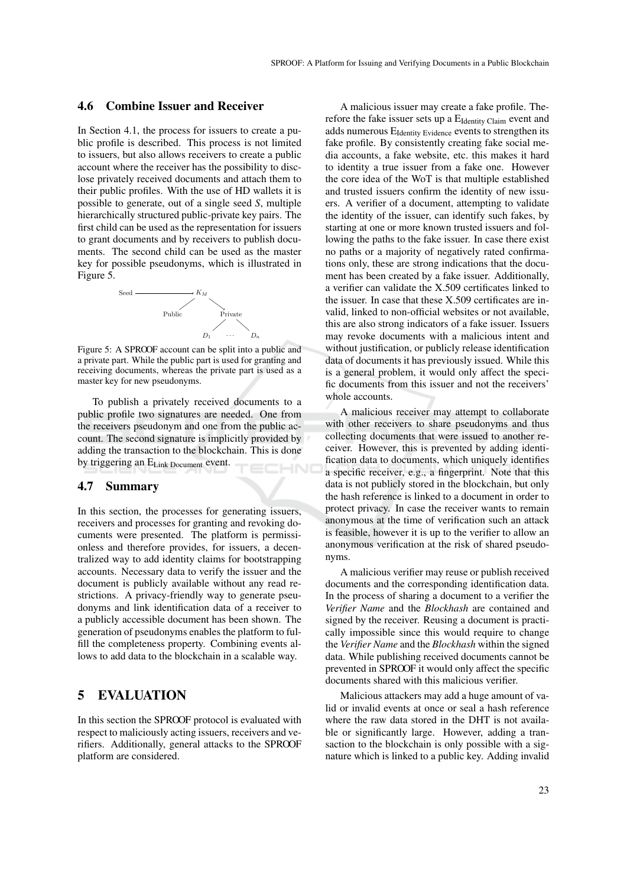### 4.6 Combine Issuer and Receiver

In Section 4.1, the process for issuers to create a public profile is described. This process is not limited to issuers, but also allows receivers to create a public account where the receiver has the possibility to disclose privately received documents and attach them to their public profiles. With the use of HD wallets it is possible to generate, out of a single seed *S*, multiple hierarchically structured public-private key pairs. The first child can be used as the representation for issuers to grant documents and by receivers to publish documents. The second child can be used as the master key for possible pseudonyms, which is illustrated in Figure 5.



Figure 5: A SPROOF account can be split into a public and a private part. While the public part is used for granting and receiving documents, whereas the private part is used as a master key for new pseudonyms.

To publish a privately received documents to a public profile two signatures are needed. One from the receivers pseudonym and one from the public account. The second signature is implicitly provided by adding the transaction to the blockchain. This is done by triggering an E<sub>Link Document</sub> event. HNC

## 4.7 Summary

In this section, the processes for generating issuers, receivers and processes for granting and revoking documents were presented. The platform is permissionless and therefore provides, for issuers, a decentralized way to add identity claims for bootstrapping accounts. Necessary data to verify the issuer and the document is publicly available without any read restrictions. A privacy-friendly way to generate pseudonyms and link identification data of a receiver to a publicly accessible document has been shown. The generation of pseudonyms enables the platform to fulfill the completeness property. Combining events allows to add data to the blockchain in a scalable way.

# 5 EVALUATION

In this section the SPROOF protocol is evaluated with respect to maliciously acting issuers, receivers and verifiers. Additionally, general attacks to the SPROOF platform are considered.

A malicious issuer may create a fake profile. Therefore the fake issuer sets up a E<sub>Identity Claim</sub> event and adds numerous E<sub>Identity Evidence</sub> events to strengthen its fake profile. By consistently creating fake social media accounts, a fake website, etc. this makes it hard to identity a true issuer from a fake one. However the core idea of the WoT is that multiple established and trusted issuers confirm the identity of new issuers. A verifier of a document, attempting to validate the identity of the issuer, can identify such fakes, by starting at one or more known trusted issuers and following the paths to the fake issuer. In case there exist no paths or a majority of negatively rated confirmations only, these are strong indications that the document has been created by a fake issuer. Additionally, a verifier can validate the X.509 certificates linked to the issuer. In case that these X.509 certificates are invalid, linked to non-official websites or not available, this are also strong indicators of a fake issuer. Issuers may revoke documents with a malicious intent and without justification, or publicly release identification data of documents it has previously issued. While this is a general problem, it would only affect the specific documents from this issuer and not the receivers' whole accounts.

A malicious receiver may attempt to collaborate with other receivers to share pseudonyms and thus collecting documents that were issued to another receiver. However, this is prevented by adding identification data to documents, which uniquely identifies a specific receiver, e.g., a fingerprint. Note that this data is not publicly stored in the blockchain, but only the hash reference is linked to a document in order to protect privacy. In case the receiver wants to remain anonymous at the time of verification such an attack is feasible, however it is up to the verifier to allow an anonymous verification at the risk of shared pseudonyms.

A malicious verifier may reuse or publish received documents and the corresponding identification data. In the process of sharing a document to a verifier the *Verifier Name* and the *Blockhash* are contained and signed by the receiver. Reusing a document is practically impossible since this would require to change the *Verifier Name* and the *Blockhash* within the signed data. While publishing received documents cannot be prevented in SPROOF it would only affect the specific documents shared with this malicious verifier.

Malicious attackers may add a huge amount of valid or invalid events at once or seal a hash reference where the raw data stored in the DHT is not available or significantly large. However, adding a transaction to the blockchain is only possible with a signature which is linked to a public key. Adding invalid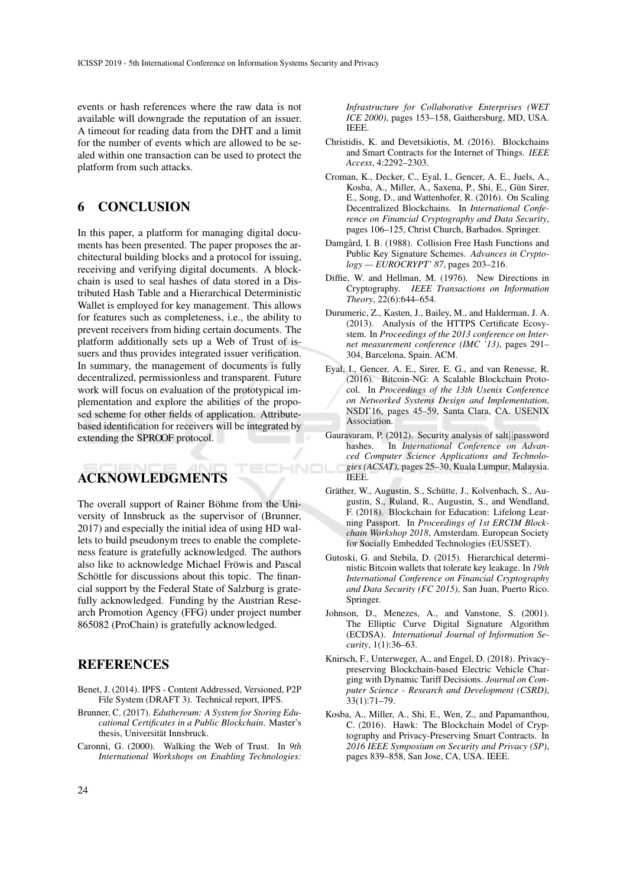events or hash references where the raw data is not available will downgrade the reputation of an issuer. A timeout for reading data from the DHT and a limit for the number of events which are allowed to be sealed within one transaction can be used to protect the platform from such attacks.

# 6 CONCLUSION

In this paper, a platform for managing digital documents has been presented. The paper proposes the architectural building blocks and a protocol for issuing, receiving and verifying digital documents. A blockchain is used to seal hashes of data stored in a Distributed Hash Table and a Hierarchical Deterministic Wallet is employed for key management. This allows for features such as completeness, i.e., the ability to prevent receivers from hiding certain documents. The platform additionally sets up a Web of Trust of issuers and thus provides integrated issuer verification. In summary, the management of documents is fully decentralized, permissionless and transparent. Future work will focus on evaluation of the prototypical implementation and explore the abilities of the proposed scheme for other fields of application. Attributebased identification for receivers will be integrated by extending the SPROOF protocol.

# ACKNOWLEDGMENTS

The overall support of Rainer Böhme from the University of Innsbruck as the supervisor of (Brunner, 2017) and especially the initial idea of using HD wallets to build pseudonym trees to enable the completeness feature is gratefully acknowledged. The authors also like to acknowledge Michael Fröwis and Pascal Schöttle for discussions about this topic. The financial support by the Federal State of Salzburg is gratefully acknowledged. Funding by the Austrian Research Promotion Agency (FFG) under project number 865082 (ProChain) is gratefully acknowledged.

# **REFERENCES**

- Benet, J. (2014). IPFS Content Addressed, Versioned, P2P File System (DRAFT 3). Technical report, IPFS.
- Brunner, C. (2017). *Eduthereum: A System for Storing Educational Certificates in a Public Blockchain*. Master's thesis, Universität Innsbruck.
- Caronni, G. (2000). Walking the Web of Trust. In *9th International Workshops on Enabling Technologies:*

*Infrastructure for Collaborative Enterprises (WET ICE 2000)*, pages 153–158, Gaithersburg, MD, USA. IEEE.

- Christidis, K. and Devetsikiotis, M. (2016). Blockchains and Smart Contracts for the Internet of Things. *IEEE Access*, 4:2292–2303.
- Croman, K., Decker, C., Eyal, I., Gencer, A. E., Juels, A., Kosba, A., Miller, A., Saxena, P., Shi, E., Gün Sirer, E., Song, D., and Wattenhofer, R. (2016). On Scaling Decentralized Blockchains. In *International Conference on Financial Cryptography and Data Security*, pages 106–125, Christ Church, Barbados. Springer.
- Damgård, I. B. (1988). Collision Free Hash Functions and Public Key Signature Schemes. *Advances in Cryptology — EUROCRYPT' 87*, pages 203–216.
- Diffie, W. and Hellman, M. (1976). New Directions in Cryptography. *IEEE Transactions on Information Theory*, 22(6):644–654.
- Durumeric, Z., Kasten, J., Bailey, M., and Halderman, J. A. (2013). Analysis of the HTTPS Certificate Ecosystem. In *Proceedings of the 2013 conference on Internet measurement conference (IMC '13)*, pages 291– 304, Barcelona, Spain. ACM.
- Eyal, I., Gencer, A. E., Sirer, E. G., and van Renesse, R. (2016). Bitcoin-NG: A Scalable Blockchain Protocol. In *Proceedings of the 13th Usenix Conference on Networked Systems Design and Implementation*, NSDI'16, pages 45–59, Santa Clara, CA. USENIX Association.
- Gauravaram, P. (2012). Security analysis of salt||password hashes. In *International Conference on Advanced Computer Science Applications and Technolo-*ECHNOL *gies (ACSAT)*, pages 25–30, Kuala Lumpur, Malaysia. IEEE.
	- Gräther, W., Augustin, S., Schütte, J., Kolvenbach, S., Augustin, S., Ruland, R., Augustin, S., and Wendland, F. (2018). Blockchain for Education: Lifelong Learning Passport. In *Proceedings of 1st ERCIM Blockchain Workshop 2018*, Amsterdam. European Society for Socially Embedded Technologies (EUSSET).
	- Gutoski, G. and Stebila, D. (2015). Hierarchical deterministic Bitcoin wallets that tolerate key leakage. In *19th International Conference on Financial Cryptography and Data Security (FC 2015)*, San Juan, Puerto Rico. Springer.
	- Johnson, D., Menezes, A., and Vanstone, S. (2001). The Elliptic Curve Digital Signature Algorithm (ECDSA). *International Journal of Information Security*, 1(1):36–63.
	- Knirsch, F., Unterweger, A., and Engel, D. (2018). Privacypreserving Blockchain-based Electric Vehicle Charging with Dynamic Tariff Decisions. *Journal on Computer Science - Research and Development (CSRD)*, 33(1):71–79.
	- Kosba, A., Miller, A., Shi, E., Wen, Z., and Papamanthou, C. (2016). Hawk: The Blockchain Model of Cryptography and Privacy-Preserving Smart Contracts. In *2016 IEEE Symposium on Security and Privacy (SP)*, pages 839–858, San Jose, CA, USA. IEEE.